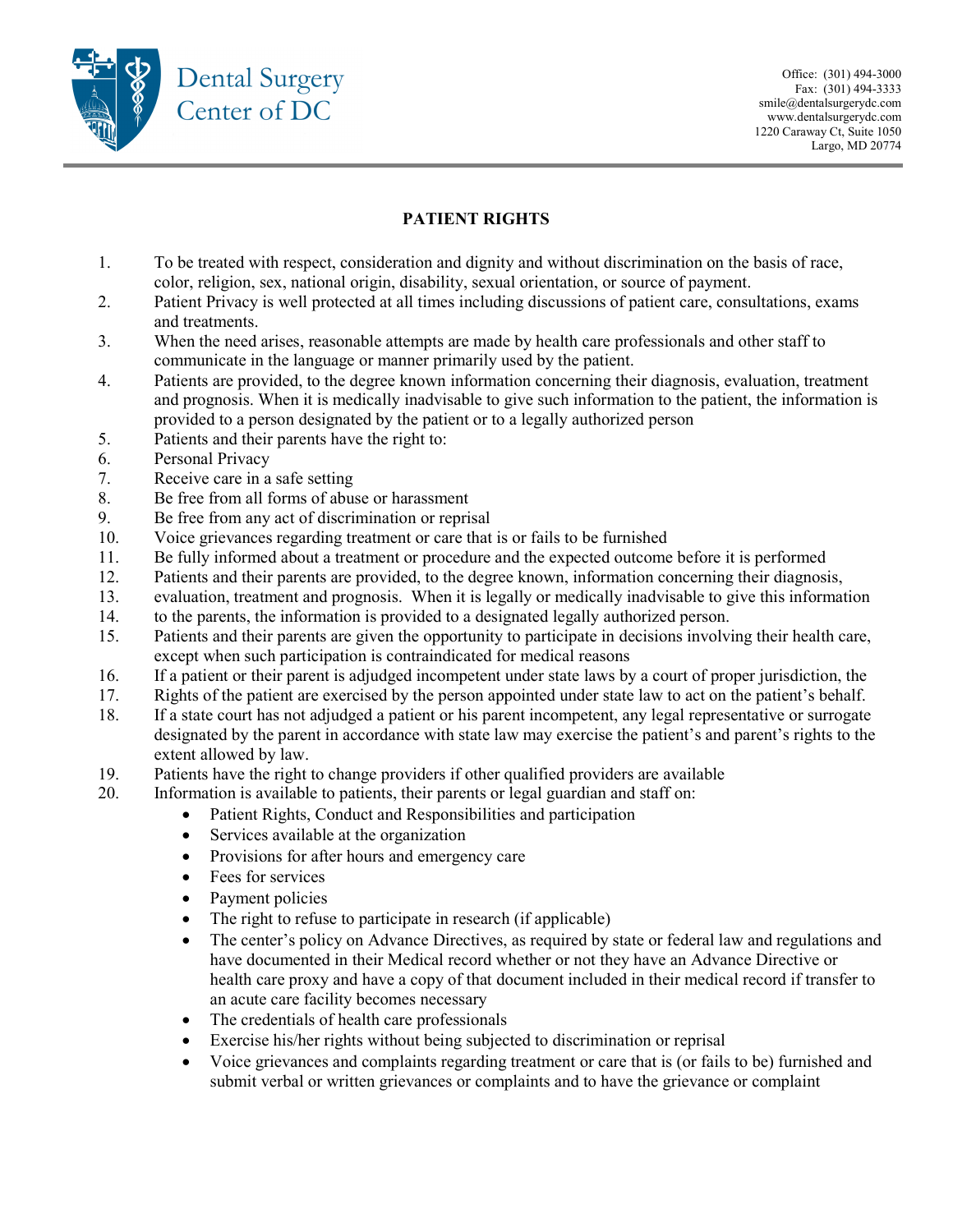

## PATIENT RIGHTS

- 1. To be treated with respect, consideration and dignity and without discrimination on the basis of race, color, religion, sex, national origin, disability, sexual orientation, or source of payment.
- 2. Patient Privacy is well protected at all times including discussions of patient care, consultations, exams and treatments.
- 3. When the need arises, reasonable attempts are made by health care professionals and other staff to communicate in the language or manner primarily used by the patient.
- 4. Patients are provided, to the degree known information concerning their diagnosis, evaluation, treatment and prognosis. When it is medically inadvisable to give such information to the patient, the information is provided to a person designated by the patient or to a legally authorized person
- 5. Patients and their parents have the right to:
- 6. Personal Privacy
- 7. Receive care in a safe setting
- 8. Be free from all forms of abuse or harassment
- 9. Be free from any act of discrimination or reprisal
- 10. Voice grievances regarding treatment or care that is or fails to be furnished
- 11. Be fully informed about a treatment or procedure and the expected outcome before it is performed
- 12. Patients and their parents are provided, to the degree known, information concerning their diagnosis,
- 13. evaluation, treatment and prognosis. When it is legally or medically inadvisable to give this information
- 14. to the parents, the information is provided to a designated legally authorized person.
- 15. Patients and their parents are given the opportunity to participate in decisions involving their health care, except when such participation is contraindicated for medical reasons
- 16. If a patient or their parent is adjudged incompetent under state laws by a court of proper jurisdiction, the
- 17. Rights of the patient are exercised by the person appointed under state law to act on the patient's behalf.
- 18. If a state court has not adjudged a patient or his parent incompetent, any legal representative or surrogate designated by the parent in accordance with state law may exercise the patient's and parent's rights to the extent allowed by law.
- 19. Patients have the right to change providers if other qualified providers are available
- 20. Information is available to patients, their parents or legal guardian and staff on:
	- Patient Rights, Conduct and Responsibilities and participation
	- Services available at the organization
	- Provisions for after hours and emergency care
	- Fees for services
	- Payment policies
	- The right to refuse to participate in research (if applicable)
	- The center's policy on Advance Directives, as required by state or federal law and regulations and have documented in their Medical record whether or not they have an Advance Directive or health care proxy and have a copy of that document included in their medical record if transfer to an acute care facility becomes necessary
	- The credentials of health care professionals
	- Exercise his/her rights without being subjected to discrimination or reprisal
	- Voice grievances and complaints regarding treatment or care that is (or fails to be) furnished and submit verbal or written grievances or complaints and to have the grievance or complaint